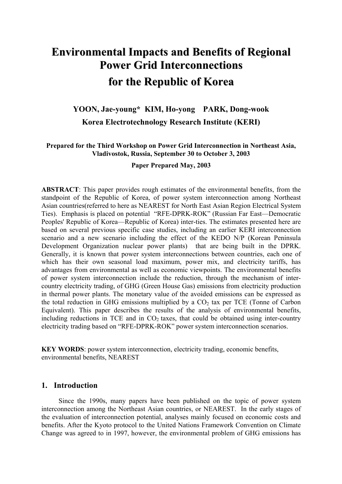# **Environmental Impacts and Benefits of Regional Power Grid Interconnections for the Republic of Korea**

# **YOON, Jae-young\* KIM, Ho-yong PARK, Dong-wook Korea Electrotechnology Research Institute (KERI)**

## **Prepared for the Third Workshop on Power Grid Interconnection in Northeast Asia, Vladivostok, Russia, September 30 to October 3, 2003**

**Paper Prepared May, 2003**

**ABSTRACT**: This paper provides rough estimates of the environmental benefits, from the standpoint of the Republic of Korea, of power system interconnection among Northeast Asian countries(referred to here as NEAREST for North East Asian Region Electrical System Ties). Emphasis is placed on potential "RFE-DPRK-ROK" (Russian Far East—Democratic Peoples' Republic of Korea—Republic of Korea) inter-ties. The estimates presented here are based on several previous specific case studies, including an earlier KERI interconnection scenario and a new scenario including the effect of the KEDO N/P (Korean Peninsula Development Organization nuclear power plants) that are being built in the DPRK. Generally, it is known that power system interconnections between countries, each one of which has their own seasonal load maximum, power mix, and electricity tariffs, has advantages from environmental as well as economic viewpoints. The environmental benefits of power system interconnection include the reduction, through the mechanism of intercountry electricity trading, of GHG (Green House Gas) emissions from electricity production in thermal power plants. The monetary value of the avoided emissions can be expressed as the total reduction in GHG emissions multiplied by a  $CO<sub>2</sub>$  tax per TCE (Tonne of Carbon Equivalent). This paper describes the results of the analysis of environmental benefits, including reductions in TCE and in  $CO<sub>2</sub>$  taxes, that could be obtained using inter-country electricity trading based on "RFE-DPRK-ROK" power system interconnection scenarios.

**KEY WORDS**: power system interconnection, electricity trading, economic benefits, environmental benefits, NEAREST

# **1. Introduction**

Since the 1990s, many papers have been published on the topic of power system interconnection among the Northeast Asian countries, or NEAREST. In the early stages of the evaluation of interconnection potential, analyses mainly focused on economic costs and benefits. After the Kyoto protocol to the United Nations Framework Convention on Climate Change was agreed to in 1997, however, the environmental problem of GHG emissions has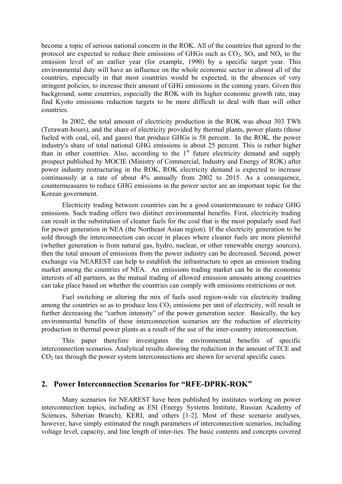become a topic of serious national concern in the ROK. All of the countries that agreed to the protocol are expected to reduce their emissions of GHGs such as  $CO_2$ ,  $SO_x$  and  $NO_x$  to the emission level of an earlier year (for example, 1990) by a specific target year. This environmental duty will have an influence on the whole economic sector in almost all of the countries, especially in that most countries would be expected, in the absences of very stringent policies, to increase their amount of GHG emissions in the coming years. Given this background, some countries, especially the ROK with its higher economic growth rate, may find Kyoto emissions reduction targets to be more difficult to deal with than will other countries.

In 2002, the total amount of electricity production in the ROK was about 303 TWh (Terawatt-hours), and the share of electricity provided by thermal plants, power plants (those fueled with coal, oil, and gases) that produce GHGs is 58 percent. In the ROK, the power industry's share of total national GHG emissions is about 25 percent. This is rather higher than in other countries. Also, according to the  $1<sup>st</sup>$  future electricity demand and supply prospect published by MOCIE (Ministry of Commercial, Industry and Energy of ROK) after power industry restructuring in the ROK, ROK electricity demand is expected to increase continuously at a rate of about 4% annually from 2002 to 2015. As a consequence, countermeasures to reduce GHG emissions in the power sector are an important topic for the Korean government.

Electricity trading between countries can be a good countermeasure to reduce GHG emissions. Such trading offers two distinct environmental benefits. First, electricity trading can result in the substitution of cleaner fuels for the coal that is the most popularly used fuel for power generation in NEA (the Northeast Asian region). If the electricity generation to be sold through the interconnection can occur in places where cleaner fuels are more plentiful (whether generation is from natural gas, hydro, nuclear, or other renewable energy sources), then the total amount of emissions from the power industry can be decreased. Second, power exchange via NEAREST can help to establish the infrastructure to open an emission trading market among the countries of NEA. An emissions trading market can be in the economic interests of all partners, as the mutual trading of allowed emission amounts among countries can take place based on whether the countries can comply with emissions restrictions or not.

Fuel switching or altering the mix of fuels used region-wide via electricity trading among the countries so as to produce less  $CO<sub>2</sub>$  emissions per unit of electricity, will result in further decreasing the "carbon intensity" of the power generation sector. Basically, the key environmental benefits of these interconnection scenarios are the reduction of electricity production in thermal power plants as a result of the use of the inter-country interconnection.

This paper therefore investigates the environmental benefits of specific interconnection scenarios. Analytical results showing the reduction in the amount of TCE and  $CO<sub>2</sub>$  tax through the power system interconnections are shown for several specific cases.

#### **2. Power Interconnection Scenarios for "RFE-DPRK-ROK"**

Many scenarios for NEAREST have been published by institutes working on power interconnection topics, including as ESI (Energy Systems Institute, Russian Academy of Sciences, Siberian Branch), KERI, and others [1-2]. Most of these scenario analyses, however, have simply estimated the rough parameters of interconnection scenarios, including voltage level, capacity, and line length of inter-ties. The basic contents and concepts covered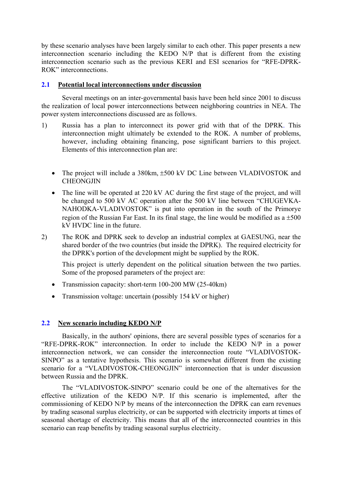by these scenario analyses have been largely similar to each other. This paper presents a new interconnection scenario including the KEDO N/P that is different from the existing interconnection scenario such as the previous KERI and ESI scenarios for "RFE-DPRK-ROK" interconnections.

## **2.1 Potential local interconnections under discussion**

Several meetings on an inter-governmental basis have been held since 2001 to discuss the realization of local power interconnections between neighboring countries in NEA. The power system interconnections discussed are as follows.

- 1) Russia has a plan to interconnect its power grid with that of the DPRK. This interconnection might ultimately be extended to the ROK. A number of problems, however, including obtaining financing, pose significant barriers to this project. Elements of this interconnection plan are:
	- The project will include a 380km,  $\pm 500$  kV DC Line between VLADIVOSTOK and **CHEONGJIN**
	- The line will be operated at 220 kV AC during the first stage of the project, and will be changed to 500 kV AC operation after the 500 kV line between "CHUGEVKA-NAHODKA-VLADIVOSTOK" is put into operation in the south of the Primorye region of the Russian Far East. In its final stage, the line would be modified as a  $\pm 500$ kV HVDC line in the future.
- 2) The ROK and DPRK seek to develop an industrial complex at GAESUNG, near the shared border of the two countries (but inside the DPRK). The required electricity for the DPRK's portion of the development might be supplied by the ROK.

This project is utterly dependent on the political situation between the two parties. Some of the proposed parameters of the project are:

- Transmission capacity: short-term 100-200 MW (25-40km)
- Transmission voltage: uncertain (possibly 154 kV or higher)

# **2.2 New scenario including KEDO N/P**

Basically, in the authors' opinions, there are several possible types of scenarios for a "RFE-DPRK-ROK" interconnection. In order to include the KEDO N/P in a power interconnection network, we can consider the interconnection route "VLADIVOSTOK-SINPO" as a tentative hypothesis. This scenario is somewhat different from the existing scenario for a "VLADIVOSTOK-CHEONGJIN" interconnection that is under discussion between Russia and the DPRK.

The "VLADIVOSTOK-SINPO" scenario could be one of the alternatives for the effective utilization of the KEDO N/P. If this scenario is implemented, after the commissioning of KEDO N/P by means of the interconnection the DPRK can earn revenues by trading seasonal surplus electricity, or can be supported with electricity imports at times of seasonal shortage of electricity. This means that all of the interconnected countries in this scenario can reap benefits by trading seasonal surplus electricity.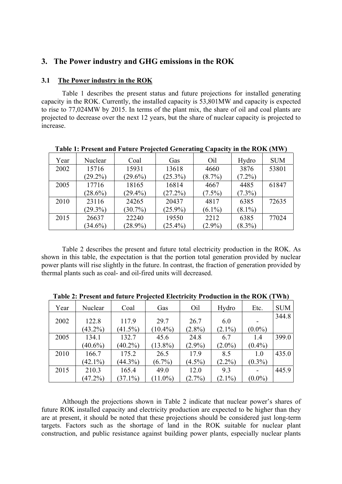# **3. The Power industry and GHG emissions in the ROK**

#### **3.1 The Power industry in the ROK**

Table 1 describes the present status and future projections for installed generating capacity in the ROK. Currently, the installed capacity is 53,801MW and capacity is expected to rise to 77,024MW by 2015. In terms of the plant mix, the share of oil and coal plants are projected to decrease over the next 12 years, but the share of nuclear capacity is projected to increase.

| Year | Nuclear    | Coal       | Gas        | Oil       | Hydro     | <b>SUM</b> |
|------|------------|------------|------------|-----------|-----------|------------|
| 2002 | 15716      | 15931      | 13618      | 4660      | 3876      | 53801      |
|      | $(29.2\%)$ | $(29.6\%)$ | $(25.3\%)$ | $(8.7\%)$ | $(7.2\%)$ |            |
| 2005 | 17716      | 18165      | 16814      | 4667      | 4485      | 61847      |
|      | $(28.6\%)$ | $(29.4\%)$ | (27.2%)    | $(7.5\%)$ | $(7.3\%)$ |            |
| 2010 | 23116      | 24265      | 20437      | 4817      | 6385      | 72635      |
|      | $(29.3\%)$ | $(30.7\%)$ | $(25.9\%)$ | $(6.1\%)$ | $(8.1\%)$ |            |
| 2015 | 26637      | 22240      | 19550      | 2212      | 6385      | 77024      |
|      | $(34.6\%)$ | $(28.9\%)$ | $(25.4\%)$ | $(2.9\%)$ | $(8.3\%)$ |            |

**Table 1: Present and Future Projected Generating Capacity in the ROK (MW)** 

Table 2 describes the present and future total electricity production in the ROK. As shown in this table, the expectation is that the portion total generation provided by nuclear power plants will rise slightly in the future. In contrast, the fraction of generation provided by thermal plants such as coal- and oil-fired units will decreased.

| Year | Nuclear    | Coal       | Gas        | Oil       | Hydro     | Etc.      | <b>SUM</b> |
|------|------------|------------|------------|-----------|-----------|-----------|------------|
| 2002 | 122.8      | 117.9      | 29.7       | 26.7      | 6.0       |           | 344.8      |
|      | $(43.2\%)$ | $(41.5\%)$ | $(10.4\%)$ | $(2.8\%)$ | $(2.1\%)$ | $(0.0\%)$ |            |
| 2005 | 134.1      | 132.7      | 45.6       | 24.8      | 6.7       | 1.4       | 399.0      |
|      | $(40.6\%)$ | $(40.2\%)$ | $(13.8\%)$ | $(2.9\%)$ | $(2.0\%)$ | $(0.4\%)$ |            |
| 2010 | 166.7      | 175.2      | 26.5       | 17.9      | 8.5       | 1.0       | 435.0      |
|      | $(42.1\%)$ | $(44.3\%)$ | $(6.7\%)$  | $(4.5\%)$ | $(2.2\%)$ | $(0.3\%)$ |            |
| 2015 | 210.3      | 165.4      | 49.0       | 12.0      | 9.3       |           | 445.9      |
|      | $(47.2\%)$ | $(37.1\%)$ | $(11.0\%)$ | $(2.7\%)$ | $(2.1\%)$ | $(0.0\%)$ |            |

**Table 2: Present and future Projected Electricity Production in the ROK (TWh)**

Although the projections shown in Table 2 indicate that nuclear power's shares of future ROK installed capacity and electricity production are expected to be higher than they are at present, it should be noted that these projections should be considered just long-term targets. Factors such as the shortage of land in the ROK suitable for nuclear plant construction, and public resistance against building power plants, especially nuclear plants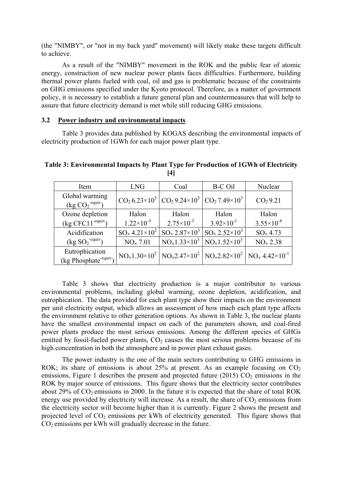(the "NIMBY", or "not in my back yard" movement) will likely make these targets difficult to achieve.

As a result of the "NIMBY" movement in the ROK and the public fear of atomic energy, construction of new nuclear power plants faces difficulties. Furthermore, building thermal power plants fueled with coal, oil and gas is problematic because of the constraints on GHG emissions specified under the Kyoto protocol. Therefore, as a matter of government policy, it is necessary to establish a future general plan and countermeasures that will help to assure that future electricity demand is met while still reducing GHG emissions.

#### **3.2 Power industry and environmental impacts**

Table 3 provides data published by KOGAS describing the environmental impacts of electricity production of 1GWh for each major power plant type.

**Table 3: Environmental Impacts by Plant Type for Production of 1GWh of Electricity [4]**

| Item                                                | <b>LNG</b>                         | Coal                                                                    | <b>B-C Oil</b>                   | Nuclear                                                                                                                 |
|-----------------------------------------------------|------------------------------------|-------------------------------------------------------------------------|----------------------------------|-------------------------------------------------------------------------------------------------------------------------|
| Global warming<br>$(kg CO2-equiv)$                  |                                    | $CO_2 6.23 \times 10^5   CO_2 9.24 \times 10^5   CO_2 7.49 \times 10^5$ |                                  | CO <sub>2</sub> 9.21                                                                                                    |
| Ozone depletion                                     | Halon                              | Halon                                                                   | Halon                            | Halon                                                                                                                   |
| $(kg CFC11-equiv)$                                  | $1.22 \times 10^{-3}$              | $2.75 \times 10^{-3}$                                                   | $3.92\times10^{-1}$              | $3.55 \times 10^{-8}$                                                                                                   |
| Acidification                                       | $SO_{\times}$ 4.21×10 <sup>2</sup> | $SO_{\times} 2.87 \times 10^{3}$                                        | $SO_{\times} 2.52 \times 10^{3}$ | SO <sub>x</sub> 4.73                                                                                                    |
| $(kg SO2-equiv)$                                    | NO <sub>x</sub> 7.01               | $NO_x1.33\times10^3$ NO <sub>x</sub> 1.52×10 <sup>3</sup>               |                                  | NO <sub>x</sub> 2.38                                                                                                    |
| Eutrophication<br>(kg Phosphate <sup>-equiv</sup> ) |                                    |                                                                         |                                  | $NO_{\times}1.30\times10^{2}$ $NO_{\times}2.47\times10^{2}$ $NO_{\times}2.82\times10^{2}$ $NO_{\times}4.42\times10^{1}$ |

Table 3 shows that electricity production is a major contributor to various environmental problems, including global warming, ozone depletion, acidification, and eutrophication. The data provided for each plant type show their impacts on the environment per unit electricity output, which allows an assessment of how much each plant type affects the environment relative to other generation options. As shown in Table 3, the nuclear plants have the smallest environmental impact on each of the parameters shown, and coal-fired power plants produce the most serious emissions. Among the different species of GHGs emitted by fossil-fueled power plants,  $CO<sub>2</sub>$  causes the most serious problems because of its high concentration in both the atmosphere and in power plant exhaust gases.

The power industry is the one of the main sectors contributing to GHG emissions in ROK; its share of emissions is about 25% at present. As an example focusing on  $CO<sub>2</sub>$ emissions, Figure 1 describes the present and projected future (2015)  $CO<sub>2</sub>$  emissions in the ROK by major source of emissions. This figure shows that the electricity sector contributes about 29% of  $CO_2$  emissions in 2000. In the future it is expected that the share of total ROK energy use provided by electricity will increase. As a result, the share of  $CO<sub>2</sub>$  emissions from the electricity sector will become higher than it is currently. Figure 2 shows the present and projected level of  $CO<sub>2</sub>$  emissions per kWh of electricity generated. This figure shows that  $CO<sub>2</sub>$  emissions per kWh will gradually decrease in the future.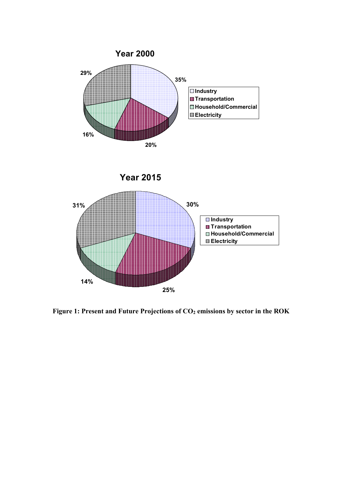





Figure 1: Present and Future Projections of  $CO<sub>2</sub>$  emissions by sector in the ROK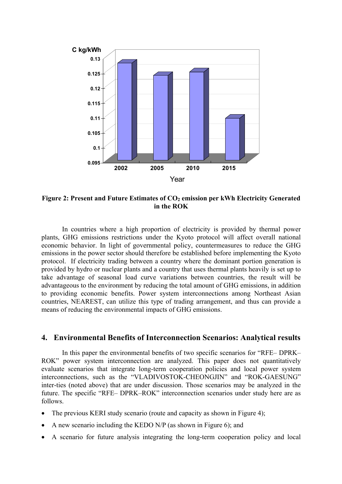

Figure 2: Present and Future Estimates of CO<sub>2</sub> emission per kWh Electricity Generated **in the ROK** 

In countries where a high proportion of electricity is provided by thermal power plants, GHG emissions restrictions under the Kyoto protocol will affect overall national economic behavior. In light of governmental policy, countermeasures to reduce the GHG emissions in the power sector should therefore be established before implementing the Kyoto protocol. If electricity trading between a country where the dominant portion generation is provided by hydro or nuclear plants and a country that uses thermal plants heavily is set up to take advantage of seasonal load curve variations between countries, the result will be advantageous to the environment by reducing the total amount of GHG emissions, in addition to providing economic benefits. Power system interconnections among Northeast Asian countries, NEAREST, can utilize this type of trading arrangement, and thus can provide a means of reducing the environmental impacts of GHG emissions.

# **4. Environmental Benefits of Interconnection Scenarios: Analytical results**

In this paper the environmental benefits of two specific scenarios for "RFE– DPRK– ROK" power system interconnection are analyzed. This paper does not quantitatively evaluate scenarios that integrate long-term cooperation policies and local power system interconnections, such as the "VLADIVOSTOK-CHEONGJIN" and "ROK-GAESUNG" inter-ties (noted above) that are under discussion. Those scenarios may be analyzed in the future. The specific "RFE– DPRK–ROK" interconnection scenarios under study here are as follows.

- The previous KERI study scenario (route and capacity as shown in Figure 4);
- A new scenario including the KEDO N/P (as shown in Figure 6); and
- A scenario for future analysis integrating the long-term cooperation policy and local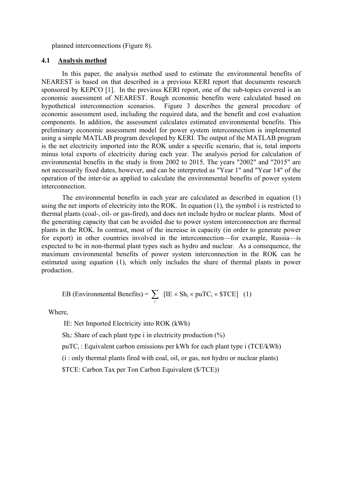planned interconnections (Figure 8).

#### **4.1 Analysis method**

In this paper, the analysis method used to estimate the environmental benefits of NEAREST is based on that described in a previous KERI report that documents research sponsored by KEPCO [1]. In the previous KERI report, one of the sub-topics covered is an economic assessment of NEAREST. Rough economic benefits were calculated based on hypothetical interconnection scenarios. Figure 3 describes the general procedure of economic assessment used, including the required data, and the benefit and cost evaluation components. In addition, the assessment calculates estimated environmental benefits. This preliminary economic assessment model for power system interconnection is implemented using a simple MATLAB program developed by KERI. The output of the MATLAB program is the net electricity imported into the ROK under a specific scenario, that is, total imports minus total exports of electricity during each year. The analysis period for calculation of environmental benefits in the study is from 2002 to 2015. The years "2002" and "2015" are not necessarily fixed dates, however, and can be interpreted as "Year 1" and "Year 14" of the operation of the inter-tie as applied to calculate the environmental benefits of power system interconnection.

The environmental benefits in each year are calculated as described in equation (1) using the net imports of electricity into the ROK. In equation (1), the symbol i is restricted to thermal plants (coal-, oil- or gas-fired), and does not include hydro or nuclear plants. Most of the generating capacity that can be avoided due to power system interconnection are thermal plants in the ROK. In contrast, most of the increase in capacity (in order to generate power for export) in other countries involved in the interconnection—for example, Russia—is expected to be in non-thermal plant types such as hydro and nuclear. As a consequence, the maximum environmental benefits of power system interconnection in the ROK can be estimated using equation (1), which only includes the share of thermal plants in power production.

EB (Environmental Benefits) = 
$$
\sum_i
$$
 [IE × Sh<sub>i</sub> × puTC<sub>i</sub> × \$TCE] (1)

Where

IE: Net Imported Electricity into ROK (kWh)

 $Sh_i$ : Share of each plant type i in electricity production  $(\%)$ 

puTC<sub>i</sub>: Equivalent carbon emissions per kWh for each plant type i (TCE/kWh)

(i : only thermal plants fired with coal, oil, or gas, not hydro or nuclear plants)

\$TCE: Carbon Tax per Ton Carbon Equivalent (\$/TCE))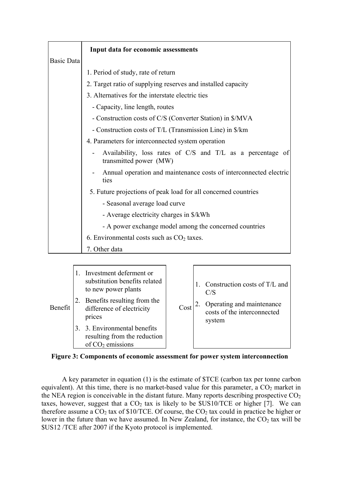|                   | Input data for economic assessments                                                  |  |  |  |
|-------------------|--------------------------------------------------------------------------------------|--|--|--|
| <b>Basic Data</b> |                                                                                      |  |  |  |
|                   | 1. Period of study, rate of return                                                   |  |  |  |
|                   | 2. Target ratio of supplying reserves and installed capacity                         |  |  |  |
|                   | 3. Alternatives for the interstate electric ties                                     |  |  |  |
|                   | - Capacity, line length, routes                                                      |  |  |  |
|                   | - Construction costs of C/S (Converter Station) in \$/MVA                            |  |  |  |
|                   | - Construction costs of T/L (Transmission Line) in \$/km                             |  |  |  |
|                   | 4. Parameters for interconnected system operation                                    |  |  |  |
|                   | Availability, loss rates of C/S and T/L as a percentage of<br>transmitted power (MW) |  |  |  |
|                   | Annual operation and maintenance costs of interconnected electric<br>ties            |  |  |  |
|                   | 5. Future projections of peak load for all concerned countries                       |  |  |  |
|                   | - Seasonal average load curve                                                        |  |  |  |
|                   | - Average electricity charges in \$/kWh                                              |  |  |  |
|                   | - A power exchange model among the concerned countries                               |  |  |  |
|                   | 6. Environmental costs such as $CO2$ taxes.                                          |  |  |  |
|                   | 7. Other data                                                                        |  |  |  |

Benefit 1. Investment deferment or substitution benefits related to new power plants 2. Benefits resulting from the difference of electricity prices 3. 3. Environmental benefits resulting from the reduction of  $CO<sub>2</sub>$  emissions  $\cosh^2$  Operating and maintenance 1. Construction costs of T/L and C/S costs of the interconnected system

#### **Figure 3: Components of economic assessment for power system interconnection**

A key parameter in equation (1) is the estimate of \$TCE (carbon tax per tonne carbon equivalent). At this time, there is no market-based value for this parameter, a  $CO<sub>2</sub>$  market in the NEA region is conceivable in the distant future. Many reports describing prospective  $CO<sub>2</sub>$ taxes, however, suggest that a  $CO<sub>2</sub>$  tax is likely to be  $$US10/TCE$  or higher [7]. We can therefore assume a  $CO<sub>2</sub>$  tax of \$10/TCE. Of course, the  $CO<sub>2</sub>$  tax could in practice be higher or lower in the future than we have assumed. In New Zealand, for instance, the  $CO<sub>2</sub>$  tax will be \$US12 /TCE after 2007 if the Kyoto protocol is implemented.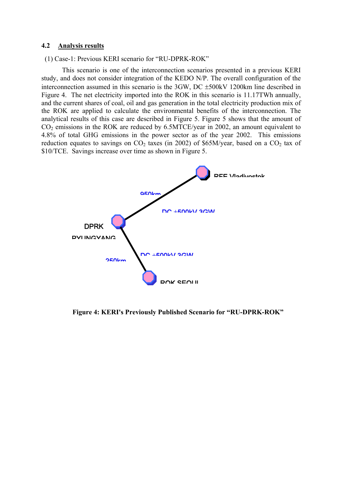#### **4.2 Analysis results**

(1) Case-1: Previous KERI scenario for "RU-DPRK-ROK"

This scenario is one of the interconnection scenarios presented in a previous KERI study, and does not consider integration of the KEDO N/P. The overall configuration of the interconnection assumed in this scenario is the 3GW, DC ±500kV 1200km line described in Figure 4. The net electricity imported into the ROK in this scenario is 11.17TWh annually, and the current shares of coal, oil and gas generation in the total electricity production mix of the ROK are applied to calculate the environmental benefits of the interconnection. The analytical results of this case are described in Figure 5. Figure 5 shows that the amount of  $CO<sub>2</sub>$  emissions in the ROK are reduced by 6.5MTCE/year in 2002, an amount equivalent to 4.8% of total GHG emissions in the power sector as of the year 2002. This emissions reduction equates to savings on  $CO<sub>2</sub>$  taxes (in 2002) of \$65M/year, based on a  $CO<sub>2</sub>$  tax of \$10/TCE. Savings increase over time as shown in Figure 5.



**Figure 4: KERI's Previously Published Scenario for "RU-DPRK-ROK"**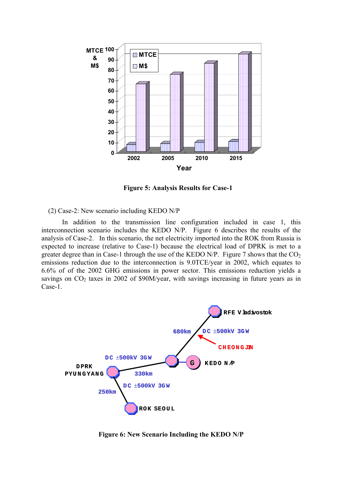

**Figure 5: Analysis Results for Case-1**

(2) Case-2: New scenario including KEDO N/P

In addition to the transmission line configuration included in case 1, this interconnection scenario includes the KEDO N/P. Figure 6 describes the results of the analysis of Case-2. In this scenario, the net electricity imported into the ROK from Russia is expected to increase (relative to Case-1) because the electrical load of DPRK is met to a greater degree than in Case-1 through the use of the KEDO N/P. Figure 7 shows that the  $CO<sub>2</sub>$ emissions reduction due to the interconnection is 9.0TCE/year in 2002, which equates to 6.6% of of the 2002 GHG emissions in power sector. This emissions reduction yields a savings on  $CO<sub>2</sub>$  taxes in 2002 of \$90M/year, with savings increasing in future years as in Case-1.



**Figure 6: New Scenario Including the KEDO N/P**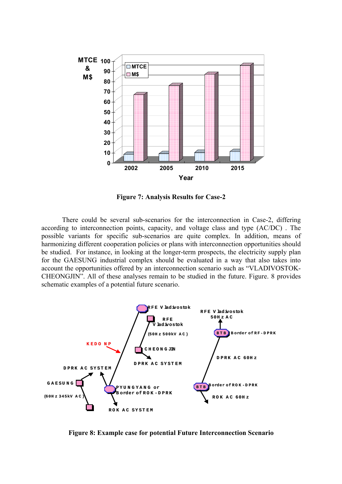

**Figure 7: Analysis Results for Case-2** 

There could be several sub-scenarios for the interconnection in Case-2, differing according to interconnection points, capacity, and voltage class and type (AC/DC) . The possible variants for specific sub-scenarios are quite complex. In addition, means of harmonizing different cooperation policies or plans with interconnection opportunities should be studied. For instance, in looking at the longer-term prospects, the electricity supply plan for the GAESUNG industrial complex should be evaluated in a way that also takes into account the opportunities offered by an interconnection scenario such as "VLADIVOSTOK-CHEONGJIN". All of these analyses remain to be studied in the future. Figure. 8 provides schematic examples of a potential future scenario.



**Figure 8: Example case for potential Future Interconnection Scenario**